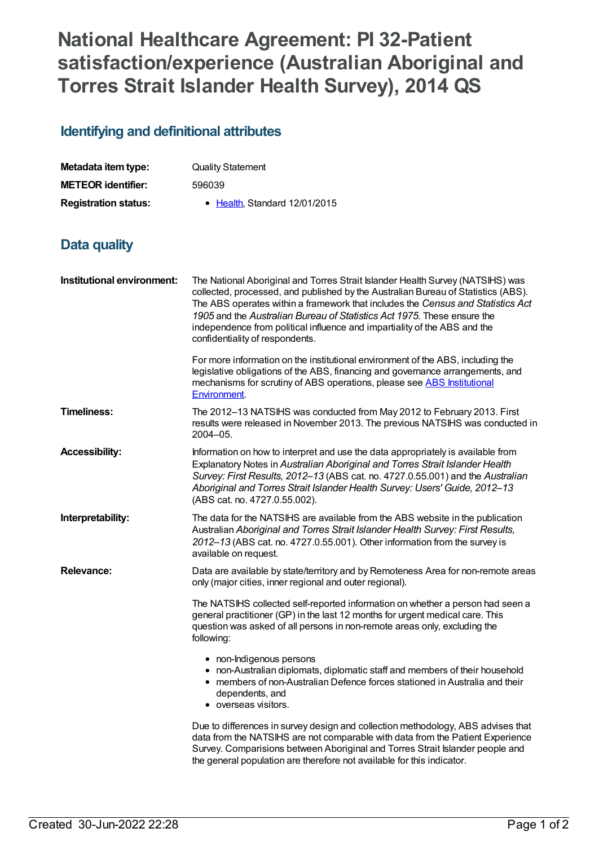## **National Healthcare Agreement: PI 32-Patient satisfaction/experience (Australian Aboriginal and Torres Strait Islander Health Survey), 2014 QS**

## **Identifying and definitional attributes**

| Metadata item type:         | <b>Quality Statement</b>      |
|-----------------------------|-------------------------------|
| <b>METEOR identifier:</b>   | 596039                        |
| <b>Registration status:</b> | • Health, Standard 12/01/2015 |

## **Data quality**

| Institutional environment: | The National Aboriginal and Torres Strait Islander Health Survey (NATSIHS) was<br>collected, processed, and published by the Australian Bureau of Statistics (ABS).<br>The ABS operates within a framework that includes the Census and Statistics Act<br>1905 and the Australian Bureau of Statistics Act 1975. These ensure the<br>independence from political influence and impartiality of the ABS and the<br>confidentiality of respondents. |
|----------------------------|---------------------------------------------------------------------------------------------------------------------------------------------------------------------------------------------------------------------------------------------------------------------------------------------------------------------------------------------------------------------------------------------------------------------------------------------------|
|                            | For more information on the institutional environment of the ABS, including the<br>legislative obligations of the ABS, financing and governance arrangements, and<br>mechanisms for scrutiny of ABS operations, please see ABS Institutional<br>Environment.                                                                                                                                                                                      |
| <b>Timeliness:</b>         | The 2012-13 NATSIHS was conducted from May 2012 to February 2013. First<br>results were released in November 2013. The previous NATSIHS was conducted in<br>$2004 - 05.$                                                                                                                                                                                                                                                                          |
| <b>Accessibility:</b>      | Information on how to interpret and use the data appropriately is available from<br>Explanatory Notes in Australian Aboriginal and Torres Strait Islander Health<br>Survey: First Results, 2012-13 (ABS cat. no. 4727.0.55.001) and the Australian<br>Aboriginal and Torres Strait Islander Health Survey: Users' Guide, 2012-13<br>(ABS cat. no. 4727.0.55.002).                                                                                 |
| Interpretability:          | The data for the NATSIHS are available from the ABS website in the publication<br>Australian Aboriginal and Torres Strait Islander Health Survey: First Results,<br>2012-13 (ABS cat. no. 4727.0.55.001). Other information from the survey is<br>available on request.                                                                                                                                                                           |
| <b>Relevance:</b>          | Data are available by state/territory and by Remoteness Area for non-remote areas<br>only (major cities, inner regional and outer regional).                                                                                                                                                                                                                                                                                                      |
|                            | The NATSIHS collected self-reported information on whether a person had seen a<br>general practitioner (GP) in the last 12 months for urgent medical care. This<br>question was asked of all persons in non-remote areas only, excluding the<br>following:                                                                                                                                                                                        |
|                            | • non-Indigenous persons<br>• non-Australian diplomats, diplomatic staff and members of their household<br>members of non-Australian Defence forces stationed in Australia and their<br>dependents, and<br>• overseas visitors.                                                                                                                                                                                                                   |
|                            | Due to differences in survey design and collection methodology, ABS advises that<br>data from the NATSIHS are not comparable with data from the Patient Experience<br>Survey. Comparisions between Aboriginal and Torres Strait Islander people and<br>the general population are therefore not available for this indicator.                                                                                                                     |